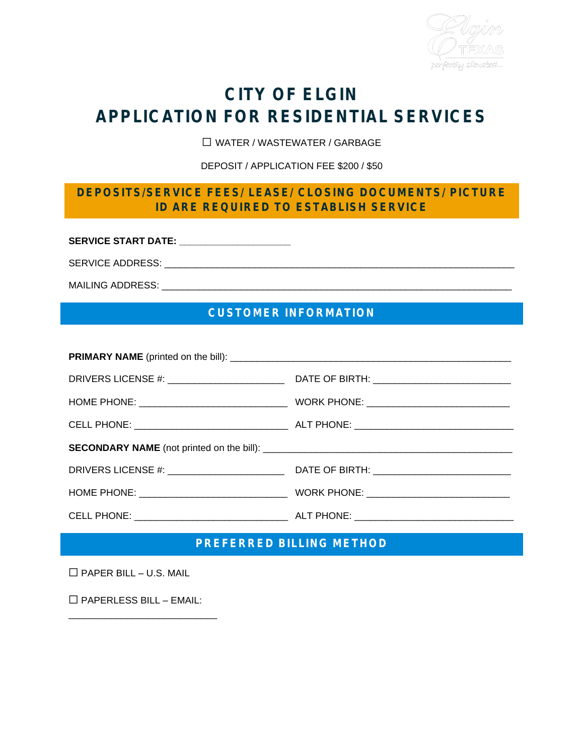

# **CITY OF ELGIN APPLICATION FOR RESIDENTIAL SERVICES**

☐ WATER / WASTEWATER / GARBAGE

DEPOSIT / APPLICATION FEE \$200 / \$50

#### **DEPOSITS/SERVICE FEES/ LEASE/ CLOSING DOCUMENTS/ PICTURE ID ARE REQUIRED TO ESTABLISH SERVICE**

**SERVICE START DATE: \_\_\_\_\_\_\_\_\_\_\_\_\_\_\_\_\_\_\_\_\_**

SERVICE ADDRESS: \_\_\_\_\_\_\_\_\_\_\_\_\_\_\_\_\_\_\_\_\_\_\_\_\_\_\_\_\_\_\_\_\_\_\_\_\_\_\_\_\_\_\_\_\_\_\_\_\_\_\_\_\_\_\_\_\_\_\_\_\_\_\_\_\_\_

MAILING ADDRESS: \_\_\_\_\_\_\_\_\_\_\_\_\_\_\_\_\_\_\_\_\_\_\_\_\_\_\_\_\_\_\_\_\_\_\_\_\_\_\_\_\_\_\_\_\_\_\_\_\_\_\_\_\_\_\_\_\_\_\_\_\_\_\_\_\_\_

### **CUSTOMER INFORMATION**

#### **PREFERRED BILLING METHOD**

 $\Box$  PAPER BILL – U.S. MAIL

☐ PAPERLESS BILL – EMAIL:

\_\_\_\_\_\_\_\_\_\_\_\_\_\_\_\_\_\_\_\_\_\_\_\_\_\_\_\_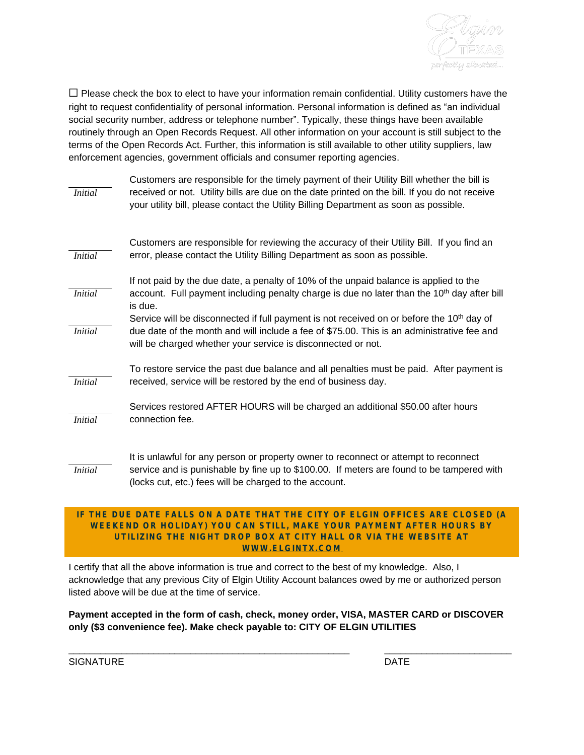

 $\Box$  Please check the box to elect to have your information remain confidential. Utility customers have the right to request confidentiality of personal information. Personal information is defined as "an individual social security number, address or telephone number". Typically, these things have been available routinely through an Open Records Request. All other information on your account is still subject to the terms of the Open Records Act. Further, this information is still available to other utility suppliers, law enforcement agencies, government officials and consumer reporting agencies.

| <b>Initial</b> | Customers are responsible for the timely payment of their Utility Bill whether the bill is<br>received or not. Utility bills are due on the date printed on the bill. If you do not receive<br>your utility bill, please contact the Utility Billing Department as soon as possible. |
|----------------|--------------------------------------------------------------------------------------------------------------------------------------------------------------------------------------------------------------------------------------------------------------------------------------|
| <b>Initial</b> | Customers are responsible for reviewing the accuracy of their Utility Bill. If you find an<br>error, please contact the Utility Billing Department as soon as possible.                                                                                                              |
| <b>Initial</b> | If not paid by the due date, a penalty of 10% of the unpaid balance is applied to the<br>account. Full payment including penalty charge is due no later than the 10 <sup>th</sup> day after bill<br>is due.                                                                          |
| <b>Initial</b> | Service will be disconnected if full payment is not received on or before the 10 <sup>th</sup> day of<br>due date of the month and will include a fee of \$75.00. This is an administrative fee and<br>will be charged whether your service is disconnected or not.                  |
| <b>Initial</b> | To restore service the past due balance and all penalties must be paid. After payment is<br>received, service will be restored by the end of business day.                                                                                                                           |
| <b>Initial</b> | Services restored AFTER HOURS will be charged an additional \$50.00 after hours<br>connection fee.                                                                                                                                                                                   |
| <i>Initial</i> | It is unlawful for any person or property owner to reconnect or attempt to reconnect<br>service and is punishable by fine up to \$100.00. If meters are found to be tampered with<br>(locks cut, etc.) fees will be charged to the account.                                          |

#### **IF THE DUE DATE FALLS ON A DATE THAT THE CITY OF ELGIN OFFICES ARE CLOSED (A WEEKEND OR HOLIDAY) YOU CAN STILL, MAKE YOUR PAYMENT AFTER HOURS BY UTILIZING THE NIGHT DROP BOX AT CITY HALL OR VIA THE WEBSITE AT WWW.ELGINTX.COM**

I certify that all the above information is true and correct to the best of my knowledge. Also, I acknowledge that any previous City of Elgin Utility Account balances owed by me or authorized person listed above will be due at the time of service.

**Payment accepted in the form of cash, check, money order, VISA, MASTER CARD or DISCOVER only (\$3 convenience fee). Make check payable to: CITY OF ELGIN UTILITIES**

\_\_\_\_\_\_\_\_\_\_\_\_\_\_\_\_\_\_\_\_\_\_\_\_\_\_\_\_\_\_\_\_\_\_\_\_\_\_\_\_\_\_\_\_\_\_\_\_\_\_\_\_\_

**SIGNATURE** 

\_\_\_\_\_\_\_\_\_\_\_\_\_\_\_\_\_\_\_\_\_\_\_\_